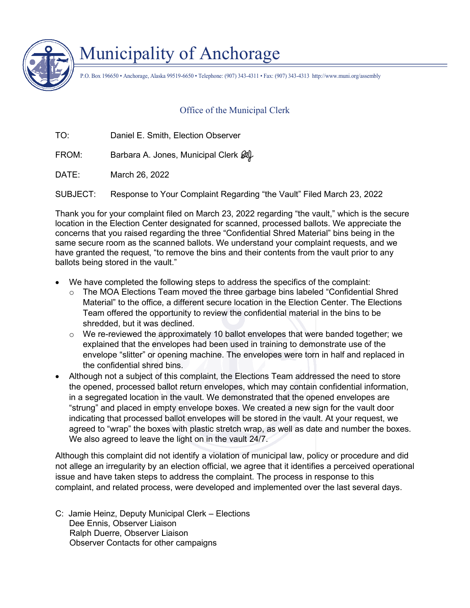

## Municipality of Anchorage

P.O. Box 196650 • Anchorage, Alaska 99519-6650 • Telephone: (907) 343-4311 • Fax: (907) 343-4313 http://www.muni.org/assembly

## Office of the Municipal Clerk

TO: Daniel E. Smith, Election Observer

FROM: Barbara A. Jones, Municipal Clerk  $\mathscr{A}$ 

DATE: March 26, 2022

SUBJECT: Response to Your Complaint Regarding "the Vault" Filed March 23, 2022

Thank you for your complaint filed on March 23, 2022 regarding "the vault," which is the secure location in the Election Center designated for scanned, processed ballots. We appreciate the concerns that you raised regarding the three "Confidential Shred Material" bins being in the same secure room as the scanned ballots. We understand your complaint requests, and we have granted the request, "to remove the bins and their contents from the vault prior to any ballots being stored in the vault."

- We have completed the following steps to address the specifics of the complaint:
	- $\circ$  The MOA Elections Team moved the three garbage bins labeled "Confidential Shred Material" to the office, a different secure location in the Election Center. The Elections Team offered the opportunity to review the confidential material in the bins to be shredded, but it was declined.
	- $\circ$  We re-reviewed the approximately 10 ballot envelopes that were banded together; we explained that the envelopes had been used in training to demonstrate use of the envelope "slitter" or opening machine. The envelopes were torn in half and replaced in the confidential shred bins.
- Although not a subject of this complaint, the Elections Team addressed the need to store the opened, processed ballot return envelopes, which may contain confidential information, in a segregated location in the vault. We demonstrated that the opened envelopes are "strung" and placed in empty envelope boxes. We created a new sign for the vault door indicating that processed ballot envelopes will be stored in the vault. At your request, we agreed to "wrap" the boxes with plastic stretch wrap, as well as date and number the boxes. We also agreed to leave the light on in the vault 24/7.

Although this complaint did not identify a violation of municipal law, policy or procedure and did not allege an irregularity by an election official, we agree that it identifies a perceived operational issue and have taken steps to address the complaint. The process in response to this complaint, and related process, were developed and implemented over the last several days.

C: Jamie Heinz, Deputy Municipal Clerk – Elections Dee Ennis, Observer Liaison Ralph Duerre, Observer Liaison Observer Contacts for other campaigns